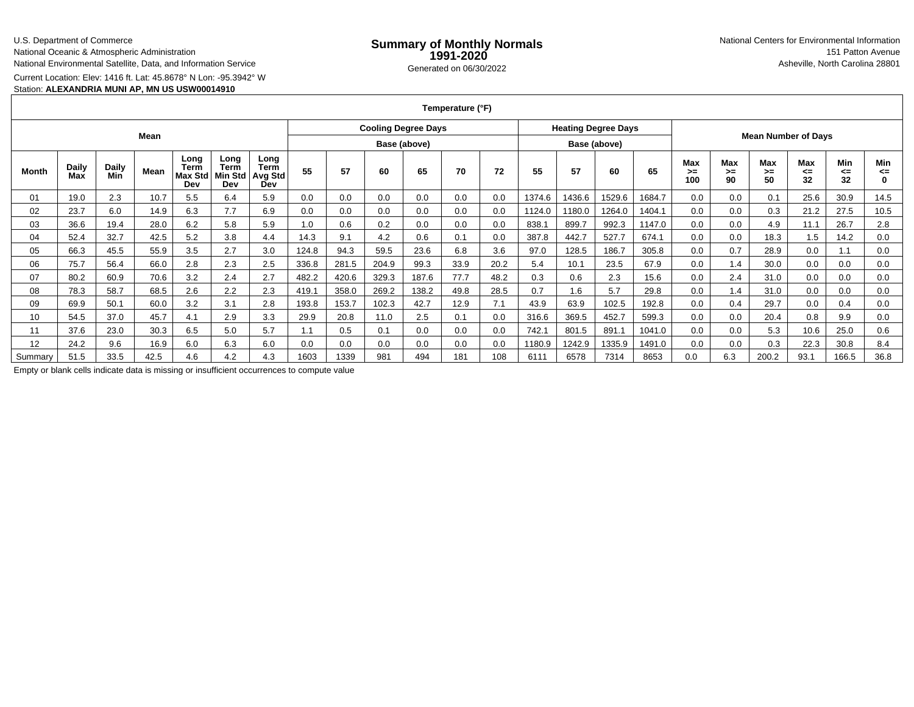### U.S. Department of Commerce

National Oceanic & Atmospheric Administration

National Environmental Satellite, Data, and Information Service

Current Location: Elev: 1416 ft. Lat: 45.8678° N Lon: -95.3942° W

## Station: **ALEXANDRIA MUNI AP, MN US USW00014910**

**Temperature (°F)**

| Mean         |              |              |      |                                       |                                |                                       | <b>Cooling Degree Days</b> |              |       |       |      | <b>Heating Degree Days</b> |              |        |        |        |                            |                 |                 |                 |                 |                |
|--------------|--------------|--------------|------|---------------------------------------|--------------------------------|---------------------------------------|----------------------------|--------------|-------|-------|------|----------------------------|--------------|--------|--------|--------|----------------------------|-----------------|-----------------|-----------------|-----------------|----------------|
|              |              |              |      |                                       |                                |                                       |                            | Base (above) |       |       |      |                            | Base (above) |        |        |        | <b>Mean Number of Days</b> |                 |                 |                 |                 |                |
| <b>Month</b> | Daily<br>Max | Daily<br>Min | Mean | Long<br>Term<br><b>Max Std</b><br>Dev | Long<br>Term<br>Min Std<br>Dev | Long<br><b>Term</b><br>Avg Std<br>Dev | 55                         | 57           | 60    | 65    | 70   | 72                         | 55           | 57     | 60     | 65     | Max<br>>≕<br>100           | Max<br>≻=<br>90 | Max<br>>=<br>50 | Max<br><=<br>32 | Min<br><=<br>32 | Min<br><=<br>0 |
| 01           | 19.0         | 2.3          | 10.7 | 5.5                                   | 6.4                            | 5.9                                   | 0.0                        | 0.0          | 0.0   | 0.0   | 0.0  | 0.0                        | 1374.6       | 1436.6 | 1529.6 | 1684.7 | 0.0                        | 0.0             | 0.1             | 25.6            | 30.9            | 14.5           |
| 02           | 23.7         | 6.0          | 14.9 | 6.3                                   | 7.7                            | 6.9                                   | 0.0                        | 0.0          | 0.0   | 0.0   | 0.0  | 0.0                        | 1124.0       | 180.0  | 1264.0 | 1404.1 | 0.0                        | 0.0             | 0.3             | 21.2            | 27.5            | 10.5           |
| 03           | 36.6         | 19.4         | 28.0 | 6.2                                   | 5.8                            | 5.9                                   | 1.0                        | 0.6          | 0.2   | 0.0   | 0.0  | 0.0                        | 838.         | 899.7  | 992.3  | 1147.0 | 0.0                        | 0.0             | 4.9             | 11.1            | 26.7            | 2.8            |
| 04           | 52.4         | 32.7         | 42.5 | 5.2                                   | 3.8                            | 4.4                                   | 14.3                       | 9.1          | 4.2   | 0.6   | 0.1  | 0.0                        | 387.8        | 442.7  | 527.7  | 674.1  | 0.0                        | 0.0             | 18.3            | 1.5             | 14.2            | 0.0            |
| 05           | 66.3         | 45.5         | 55.9 | 3.5                                   | 2.7                            | 3.0                                   | 124.8                      | 94.3         | 59.5  | 23.6  | 6.8  | 3.6                        | 97.0         | 128.5  | 186.7  | 305.8  | 0.0                        | 0.7             | 28.9            | 0.0             | 1.1             | 0.0            |
| 06           | 75.7         | 56.4         | 66.0 | 2.8                                   | 2.3                            | 2.5                                   | 336.8                      | 281.5        | 204.9 | 99.3  | 33.9 | 20.2                       | 5.4          | 10.1   | 23.5   | 67.9   | 0.0                        | 1.4             | 30.0            | 0.0             | 0.0             | 0.0            |
| 07           | 80.2         | 60.9         | 70.6 | 3.2                                   | 2.4                            | 2.7                                   | 482.2                      | 420.6        | 329.3 | 187.6 | 77.7 | 48.2                       | 0.3          | 0.6    | 2.3    | 15.6   | 0.0                        | 2.4             | 31.0            | 0.0             | 0.0             | 0.0            |
| 08           | 78.3         | 58.7         | 68.5 | 2.6                                   | 2.2                            | 2.3                                   | 419.1                      | 358.0        | 269.2 | 138.2 | 49.8 | 28.5                       | 0.7          | 1.6    | 5.7    | 29.8   | 0.0                        | 1.4             | 31.0            | 0.0             | 0.0             | 0.0            |
| 09           | 69.9         | 50.1         | 60.0 | 3.2                                   | 3.1                            | 2.8                                   | 193.8                      | 153.7        | 102.3 | 42.7  | 12.9 | 7.1                        | 43.9         | 63.9   | 102.5  | 192.8  | 0.0                        | 0.4             | 29.7            | 0.0             | 0.4             | 0.0            |
| 10           | 54.5         | 37.0         | 45.7 | 4.1                                   | 2.9                            | 3.3                                   | 29.9                       | 20.8         | 11.0  | 2.5   | 0.1  | 0.0                        | 316.6        | 369.5  | 452.7  | 599.3  | 0.0                        | 0.0             | 20.4            | 0.8             | 9.9             | 0.0            |
| 11           | 37.6         | 23.0         | 30.3 | 6.5                                   | 5.0                            | 5.7                                   | 1.1                        | 0.5          | 0.1   | 0.0   | 0.0  | 0.0                        | 742.7        | 801.5  | 891.1  | 1041.0 | 0.0                        | 0.0             | 5.3             | 10.6            | 25.0            | 0.6            |
| 12           | 24.2         | 9.6          | 16.9 | 6.0                                   | 6.3                            | 6.0                                   | 0.0                        | 0.0          | 0.0   | 0.0   | 0.0  | 0.0                        | 1180.9       | 1242.9 | 1335.9 | 1491.0 | 0.0                        | 0.0             | 0.3             | 22.3            | 30.8            | 8.4            |
| Summary      | 51.5         | 33.5         | 42.5 | 4.6                                   | 4.2                            | 4.3                                   | 1603                       | 1339         | 981   | 494   | 181  | 108                        | 611'         | 6578   | 7314   | 8653   | 0.0                        | 6.3             | 200.2           | 93.1            | 166.5           | 36.8           |

Empty or blank cells indicate data is missing or insufficient occurrences to compute value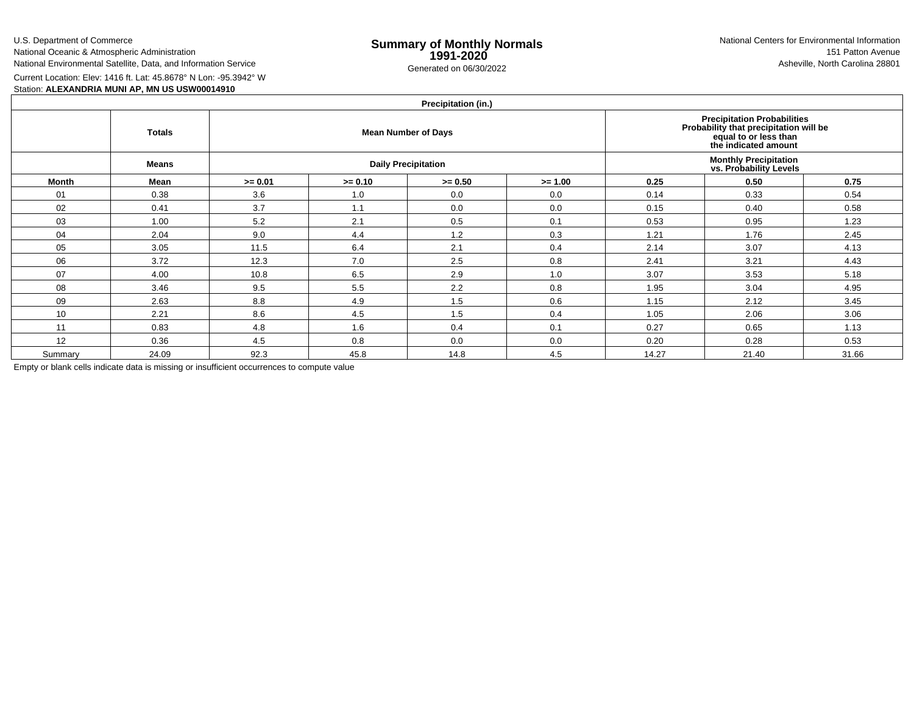U.S. Department of CommerceNational Oceanic & Atmospheric Administration

National Environmental Satellite, Data, and Information Service

e **Summary of Monthly Normals**<br> **1991-2020** 151 Patton Avenue **1991-2020** 1997-2020 e Generated on 06/30/2022 Asheville, North Carolina 28801 National Centers for Environmental Information151 Patton Avenue

Current Location: Elev: 1416 ft. Lat: 45.8678° N Lon: -95.3942° W

## Station: **ALEXANDRIA MUNI AP, MN US USW00014910**

# **Precipitation (in.)**

|         | <b>Totals</b> |           |           | <b>FIGUIPILATION</b> (III.)<br><b>Mean Number of Days</b> | <b>Precipitation Probabilities</b><br>Probability that precipitation will be<br>equal to or less than<br>the indicated amount |       |       |       |  |  |
|---------|---------------|-----------|-----------|-----------------------------------------------------------|-------------------------------------------------------------------------------------------------------------------------------|-------|-------|-------|--|--|
|         | <b>Means</b>  |           |           | <b>Daily Precipitation</b>                                | <b>Monthly Precipitation</b><br>vs. Probability Levels                                                                        |       |       |       |  |  |
| Month   | Mean          | $>= 0.01$ | $>= 0.10$ | $>= 0.50$                                                 | $>= 1.00$                                                                                                                     | 0.25  | 0.50  | 0.75  |  |  |
| 01      | 0.38          | 3.6       | 1.0       | 0.0                                                       | 0.0                                                                                                                           | 0.14  | 0.33  | 0.54  |  |  |
| 02      | 0.41          | 3.7       | 1.1       | 0.0                                                       | 0.0                                                                                                                           | 0.15  | 0.40  | 0.58  |  |  |
| 03      | 1.00          | 5.2       | 2.1       | 0.5                                                       | 0.1                                                                                                                           | 0.53  | 0.95  | 1.23  |  |  |
| 04      | 2.04          | 9.0       | 4.4       | 1.2                                                       | 0.3                                                                                                                           | 1.21  | 1.76  | 2.45  |  |  |
| 05      | 3.05          | 11.5      | 6.4       | 2.1                                                       | 0.4                                                                                                                           | 2.14  | 3.07  | 4.13  |  |  |
| 06      | 3.72          | 12.3      | 7.0       | 2.5                                                       | 0.8                                                                                                                           | 2.41  | 3.21  | 4.43  |  |  |
| 07      | 4.00          | 10.8      | 6.5       | 2.9                                                       | 1.0                                                                                                                           | 3.07  | 3.53  | 5.18  |  |  |
| 08      | 3.46          | 9.5       | 5.5       | 2.2                                                       | 0.8                                                                                                                           | 1.95  | 3.04  | 4.95  |  |  |
| 09      | 2.63          | 8.8       | 4.9       | 1.5                                                       | 0.6                                                                                                                           | 1.15  | 2.12  | 3.45  |  |  |
| 10      | 2.21          | 8.6       | 4.5       | 1.5                                                       | 0.4                                                                                                                           | 1.05  | 2.06  | 3.06  |  |  |
| 11      | 0.83          | 4.8       | 1.6       | 0.4                                                       | 0.1                                                                                                                           | 0.27  | 0.65  | 1.13  |  |  |
| 12      | 0.36          | 4.5       | 0.8       | 0.0                                                       | 0.0                                                                                                                           | 0.20  | 0.28  | 0.53  |  |  |
| Summary | 24.09         | 92.3      | 45.8      | 14.8                                                      | 4.5                                                                                                                           | 14.27 | 21.40 | 31.66 |  |  |

Empty or blank cells indicate data is missing or insufficient occurrences to compute value